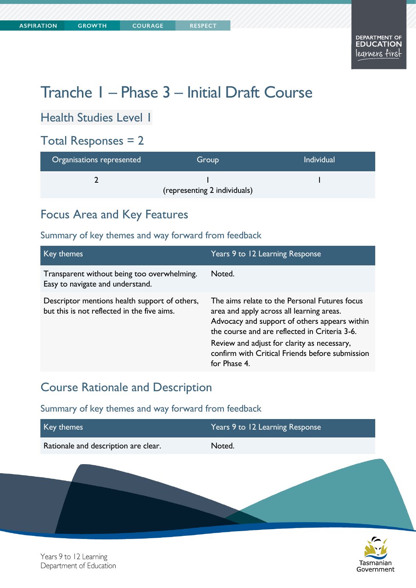# Tranche 1 – Phase 3 – Initial Draft Course

Health Studies Level 1

### Total Responses = 2

| Organisations represented    | Group | <b>Individual</b> |
|------------------------------|-------|-------------------|
|                              |       |                   |
| (representing 2 individuals) |       |                   |

### Focus Area and Key Features

### Summary of key themes and way forward from feedback

| Key themes                                                                                   | Years 9 to 12 Learning Response                                                                                                                                                                                                                                                                                |
|----------------------------------------------------------------------------------------------|----------------------------------------------------------------------------------------------------------------------------------------------------------------------------------------------------------------------------------------------------------------------------------------------------------------|
| Transparent without being too overwhelming.<br>Easy to navigate and understand.              | Noted.                                                                                                                                                                                                                                                                                                         |
| Descriptor mentions health support of others,<br>but this is not reflected in the five aims. | The aims relate to the Personal Futures focus<br>area and apply across all learning areas.<br>Advocacy and support of others appears within<br>the course and are reflected in Criteria 3-6.<br>Review and adjust for clarity as necessary,<br>confirm with Critical Friends before submission<br>for Phase 4. |

### Course Rationale and Description

| Key themes                           | Years 9 to 12 Learning Response |  |
|--------------------------------------|---------------------------------|--|
| Rationale and description are clear. | Noted.                          |  |
|                                      |                                 |  |

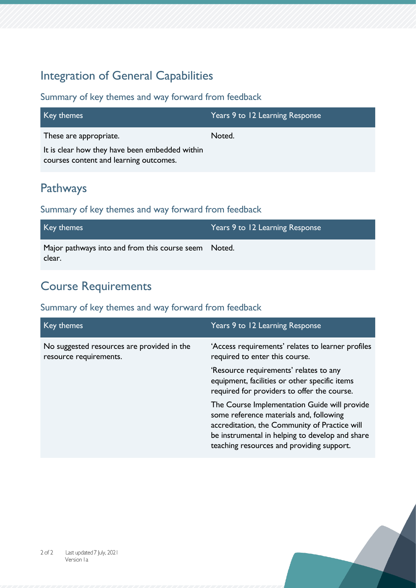## Integration of General Capabilities

### Summary of key themes and way forward from feedback

| Key themes                                                                               | Years 9 to 12 Learning Response |
|------------------------------------------------------------------------------------------|---------------------------------|
| These are appropriate.                                                                   | Noted.                          |
| It is clear how they have been embedded within<br>courses content and learning outcomes. |                                 |

### Pathways

### Summary of key themes and way forward from feedback

| Key themes                                                     | Years 9 to 12 Learning Response |
|----------------------------------------------------------------|---------------------------------|
| Major pathways into and from this course seem Noted.<br>clear. |                                 |

## Course Requirements

| Key themes                                                           | Years 9 to 12 Learning Response                                                                                                                                                                                                          |
|----------------------------------------------------------------------|------------------------------------------------------------------------------------------------------------------------------------------------------------------------------------------------------------------------------------------|
| No suggested resources are provided in the<br>resource requirements. | 'Access requirements' relates to learner profiles<br>required to enter this course.                                                                                                                                                      |
|                                                                      | 'Resource requirements' relates to any<br>equipment, facilities or other specific items<br>required for providers to offer the course.                                                                                                   |
|                                                                      | The Course Implementation Guide will provide<br>some reference materials and, following<br>accreditation, the Community of Practice will<br>be instrumental in helping to develop and share<br>teaching resources and providing support. |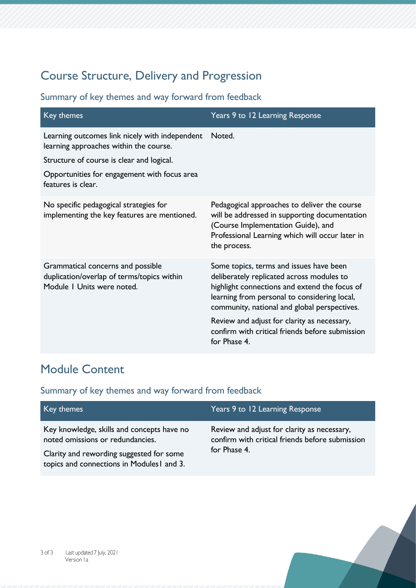## Course Structure, Delivery and Progression

### Summary of key themes and way forward from feedback

| Key themes                                                                                                    | Years 9 to 12 Learning Response                                                                                                                                                                                                       |
|---------------------------------------------------------------------------------------------------------------|---------------------------------------------------------------------------------------------------------------------------------------------------------------------------------------------------------------------------------------|
| Learning outcomes link nicely with independent<br>learning approaches within the course.                      | Noted.                                                                                                                                                                                                                                |
| Structure of course is clear and logical.                                                                     |                                                                                                                                                                                                                                       |
| Opportunities for engagement with focus area<br>features is clear.                                            |                                                                                                                                                                                                                                       |
| No specific pedagogical strategies for<br>implementing the key features are mentioned.                        | Pedagogical approaches to deliver the course<br>will be addressed in supporting documentation<br>(Course Implementation Guide), and<br>Professional Learning which will occur later in<br>the process.                                |
| Grammatical concerns and possible<br>duplication/overlap of terms/topics within<br>Module I Units were noted. | Some topics, terms and issues have been<br>deliberately replicated across modules to<br>highlight connections and extend the focus of<br>learning from personal to considering local,<br>community, national and global perspectives. |
|                                                                                                               | Review and adjust for clarity as necessary,<br>confirm with critical friends before submission<br>for Phase 4.                                                                                                                        |

## Module Content

| Key themes                                                                                                                                                              | Years 9 to 12 Learning Response                                                                                |
|-------------------------------------------------------------------------------------------------------------------------------------------------------------------------|----------------------------------------------------------------------------------------------------------------|
| Key knowledge, skills and concepts have no<br>noted omissions or redundancies.<br>Clarity and rewording suggested for some<br>topics and connections in Modules1 and 3. | Review and adjust for clarity as necessary,<br>confirm with critical friends before submission<br>for Phase 4. |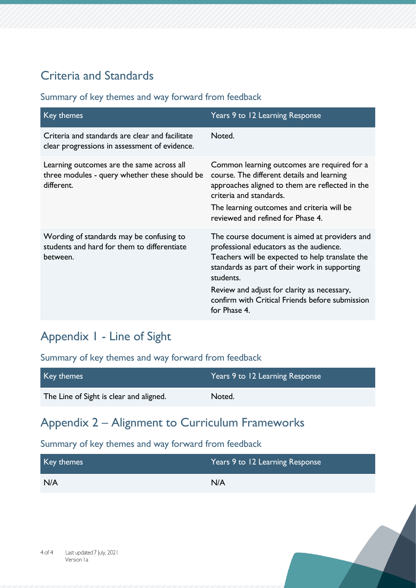## Criteria and Standards

### Summary of key themes and way forward from feedback

| Key themes                                                                                               | Years 9 to 12 Learning Response                                                                                                                                                                                                                                                                                             |
|----------------------------------------------------------------------------------------------------------|-----------------------------------------------------------------------------------------------------------------------------------------------------------------------------------------------------------------------------------------------------------------------------------------------------------------------------|
| Criteria and standards are clear and facilitate<br>clear progressions in assessment of evidence.         | Noted.                                                                                                                                                                                                                                                                                                                      |
| Learning outcomes are the same across all<br>three modules - query whether these should be<br>different. | Common learning outcomes are required for a<br>course. The different details and learning<br>approaches aligned to them are reflected in the<br>criteria and standards.<br>The learning outcomes and criteria will be<br>reviewed and refined for Phase 4.                                                                  |
| Wording of standards may be confusing to<br>students and hard for them to differentiate<br>between.      | The course document is aimed at providers and<br>professional educators as the audience.<br>Teachers will be expected to help translate the<br>standards as part of their work in supporting<br>students.<br>Review and adjust for clarity as necessary,<br>confirm with Critical Friends before submission<br>for Phase 4. |

## Appendix 1 - Line of Sight

Summary of key themes and way forward from feedback

| Key themes                              | Years 9 to 12 Learning Response |
|-----------------------------------------|---------------------------------|
| The Line of Sight is clear and aligned. | Noted.                          |

### Appendix 2 – Alignment to Curriculum Frameworks

| Key themes | Years 9 to 12 Learning Response |
|------------|---------------------------------|
| N/A        | N/A                             |